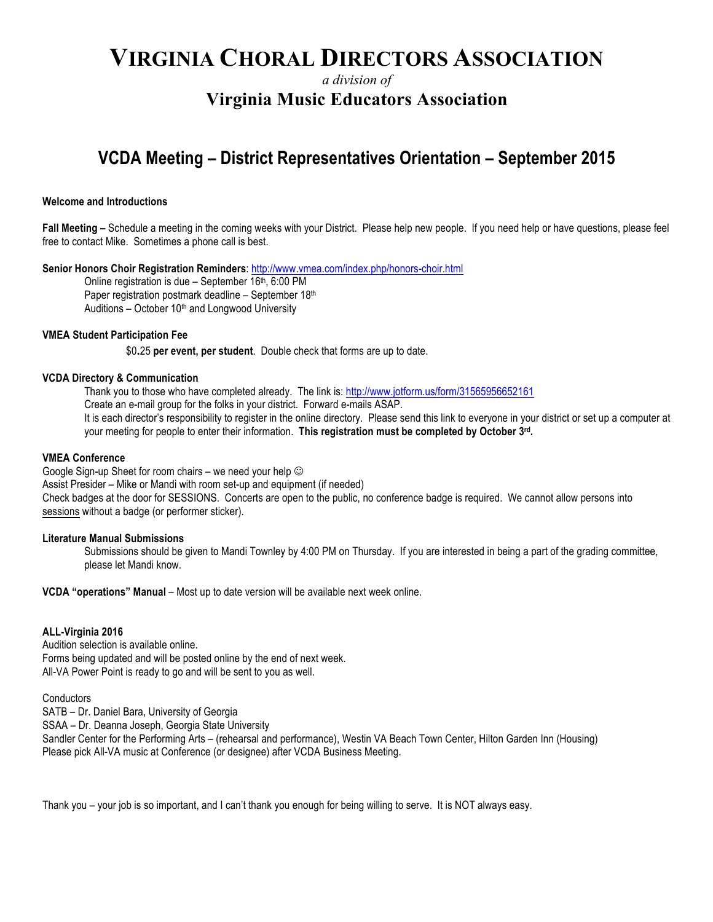# **VIRGINIA CHORAL DIRECTORS ASSOCIATION**

*a division of*

### **Virginia Music Educators Association**

## **VCDA Meeting – District Representatives Orientation – September 2015**

#### **Welcome and Introductions**

**Fall Meeting –** Schedule a meeting in the coming weeks with your District. Please help new people. If you need help or have questions, please feel free to contact Mike. Sometimes a phone call is best.

**Senior Honors Choir Registration Reminders**: http://www.vmea.com/index.php/honors-choir.html

Online registration is due - September 16<sup>th</sup>, 6:00 PM Paper registration postmark deadline – September 18th Auditions – October  $10<sup>th</sup>$  and Longwood University

#### **VMEA Student Participation Fee**

\$0**.**25 **per event, per student**. Double check that forms are up to date.

#### **VCDA Directory & Communication**

Thank you to those who have completed already. The link is: http://www.jotform.us/form/31565956652161

Create an e-mail group for the folks in your district. Forward e-mails ASAP.

It is each director's responsibility to register in the online directory. Please send this link to everyone in your district or set up a computer at your meeting for people to enter their information. **This registration must be completed by October 3rd.**

#### **VMEA Conference**

Google Sign-up Sheet for room chairs – we need your help  $\odot$ Assist Presider – Mike or Mandi with room set-up and equipment (if needed) Check badges at the door for SESSIONS. Concerts are open to the public, no conference badge is required. We cannot allow persons into sessions without a badge (or performer sticker).

#### **Literature Manual Submissions**

Submissions should be given to Mandi Townley by 4:00 PM on Thursday. If you are interested in being a part of the grading committee, please let Mandi know.

**VCDA "operations" Manual** – Most up to date version will be available next week online.

#### **ALL-Virginia 2016**

Audition selection is available online. Forms being updated and will be posted online by the end of next week. All-VA Power Point is ready to go and will be sent to you as well.

**Conductors** 

SATB – Dr. Daniel Bara, University of Georgia

SSAA – Dr. Deanna Joseph, Georgia State University

Sandler Center for the Performing Arts – (rehearsal and performance), Westin VA Beach Town Center, Hilton Garden Inn (Housing) Please pick All-VA music at Conference (or designee) after VCDA Business Meeting.

Thank you – your job is so important, and I can't thank you enough for being willing to serve. It is NOT always easy.